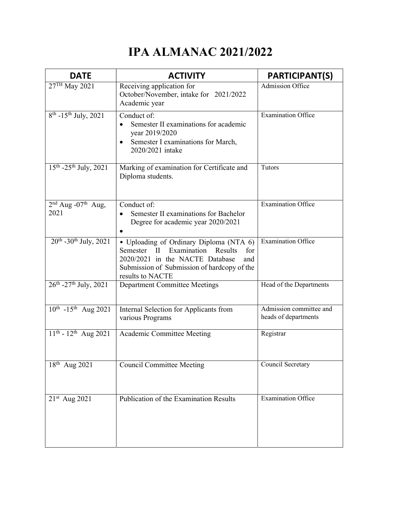## IPA ALMANAC 2021/2022

| <b>DATE</b>                              | <b>ACTIVITY</b>                                                                                                                                                                                                | <b>PARTICIPANT(S)</b>                           |
|------------------------------------------|----------------------------------------------------------------------------------------------------------------------------------------------------------------------------------------------------------------|-------------------------------------------------|
| 27 <sup>TH</sup> May 2021                | Receiving application for<br>October/November, intake for 2021/2022<br>Academic year                                                                                                                           | Admission Office                                |
| $8^{th}$ -15 <sup>th</sup> July, 2021    | Conduct of:<br>Semester II examinations for academic<br>$\bullet$<br>year 2019/2020<br>Semester I examinations for March,<br>2020/2021 intake                                                                  | <b>Examination Office</b>                       |
| $15^{th}$ -25 <sup>th</sup> July, 2021   | Marking of examination for Certificate and<br>Diploma students.                                                                                                                                                | Tutors                                          |
| $2nd$ Aug -07 <sup>th</sup> Aug,<br>2021 | Conduct of:<br>Semester II examinations for Bachelor<br>Degree for academic year 2020/2021                                                                                                                     | <b>Examination Office</b>                       |
| $20^{th}$ -30 <sup>th</sup> July, 2021   | • Uploading of Ordinary Diploma (NTA 6)<br>Examination<br>Results<br>Semester<br>$\rm{II}$<br>for<br>2020/2021 in the NACTE Database<br>and<br>Submission of Submission of hardcopy of the<br>results to NACTE | <b>Examination Office</b>                       |
| $26^{th}$ -27 <sup>th</sup> July, 2021   | <b>Department Committee Meetings</b>                                                                                                                                                                           | Head of the Departments                         |
| $10^{th}$ -15 <sup>th</sup> Aug 2021     | Internal Selection for Applicants from<br>various Programs                                                                                                                                                     | Admission committee and<br>heads of departments |
| $11^{th}$ - $12^{th}$ Aug 2021           | Academic Committee Meeting                                                                                                                                                                                     | Registrar                                       |
| $18^{th}$ Aug 2021                       | <b>Council Committee Meeting</b>                                                                                                                                                                               | Council Secretary                               |
| 21st Aug 2021                            | <b>Publication of the Examination Results</b>                                                                                                                                                                  | Examination Office                              |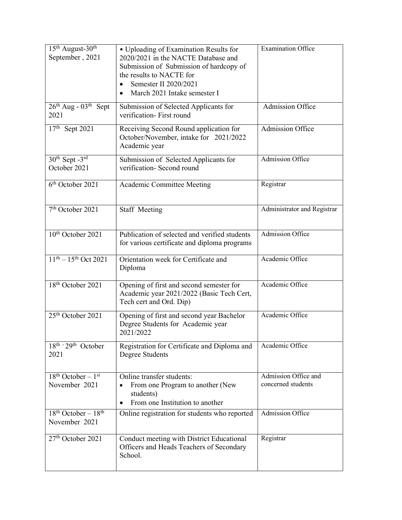| $15th$ August- $30th$<br>September, 2021                | • Uploading of Examination Results for<br>2020/2021 in the NACTE Database and<br>Submission of Submission of hardcopy of<br>the results to NACTE for<br>Semester II 2020/2021 | <b>Examination Office</b>                  |
|---------------------------------------------------------|-------------------------------------------------------------------------------------------------------------------------------------------------------------------------------|--------------------------------------------|
|                                                         | March 2021 Intake semester I<br>$\bullet$                                                                                                                                     |                                            |
| $26^{\text{th}}$ Aug - $03^{\text{th}}$<br>Sept<br>2021 | Submission of Selected Applicants for<br>verification- First round                                                                                                            | <b>Admission Office</b>                    |
| 17th Sept 2021                                          | Receiving Second Round application for<br>October/November, intake for 2021/2022<br>Academic year                                                                             | Admission Office                           |
| $30th$ Sept -3 <sup>rd</sup><br>October 2021            | Submission of Selected Applicants for<br>verification- Second round                                                                                                           | Admission Office                           |
| 6 <sup>th</sup> October 2021                            | Academic Committee Meeting                                                                                                                                                    | Registrar                                  |
| 7 <sup>th</sup> October 2021                            | <b>Staff Meeting</b>                                                                                                                                                          | Administrator and Registrar                |
| 10 <sup>th</sup> October 2021                           | Publication of selected and verified students<br>for various certificate and diploma programs                                                                                 | Admission Office                           |
| $11^{th} - 15^{th}$ Oct 2021                            | Orientation week for Certificate and<br>Diploma                                                                                                                               | Academic Office                            |
| 18 <sup>th</sup> October 2021                           | Opening of first and second semester for<br>Academic year 2021/2022 (Basic Tech Cert,<br>Tech cert and Ord. Dip)                                                              | Academic Office                            |
| 25 <sup>th</sup> October 2021                           | Opening of first and second year Bachelor<br>Degree Students for Academic year<br>2021/2022                                                                                   | Academic Office                            |
| $\overline{18^{th} \cdot 29^{th}}$ October<br>2021      | Registration for Certificate and Diploma and<br>Degree Students                                                                                                               | Academic Office                            |
| $18th October - 1st$<br>November 2021                   | Online transfer students:<br>From one Program to another (New<br>students)<br>From one Institution to another<br>٠                                                            | Admission Office and<br>concerned students |
| $18th October - 18th$<br>November 2021                  | Online registration for students who reported                                                                                                                                 | Admission Office                           |
| 27th October 2021                                       | Conduct meeting with District Educational<br>Officers and Heads Teachers of Secondary<br>School.                                                                              | Registrar                                  |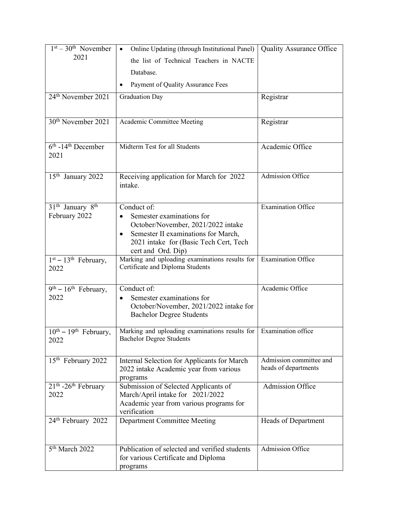| $1st - 30th$ November<br>2021                             | Online Updating (through Institutional Panel)                                                                                                                                              | <b>Quality Assurance Office</b>                 |
|-----------------------------------------------------------|--------------------------------------------------------------------------------------------------------------------------------------------------------------------------------------------|-------------------------------------------------|
|                                                           | the list of Technical Teachers in NACTE                                                                                                                                                    |                                                 |
|                                                           | Database.                                                                                                                                                                                  |                                                 |
|                                                           | Payment of Quality Assurance Fees<br>٠                                                                                                                                                     |                                                 |
| 24 <sup>th</sup> November 2021                            | <b>Graduation Day</b>                                                                                                                                                                      | Registrar                                       |
|                                                           |                                                                                                                                                                                            |                                                 |
| 30 <sup>th</sup> November 2021                            | Academic Committee Meeting                                                                                                                                                                 | Registrar                                       |
| $6th$ -14 <sup>th</sup> December<br>2021                  | Midterm Test for all Students                                                                                                                                                              | Academic Office                                 |
| 15 <sup>th</sup> January 2022                             | Receiving application for March for 2022<br>intake.                                                                                                                                        | Admission Office                                |
| 31 <sup>th</sup> January 8 <sup>th</sup><br>February 2022 | Conduct of:<br>Semester examinations for<br>October/November, 2021/2022 intake<br>Semester II examinations for March,<br>٠<br>2021 intake for (Basic Tech Cert, Tech<br>cert and Ord. Dip) | <b>Examination Office</b>                       |
| $1st - 13th$ February,<br>2022                            | Marking and uploading examinations results for<br>Certificate and Diploma Students                                                                                                         | <b>Examination Office</b>                       |
| $9th - 16th$ February,<br>2022                            | Conduct of:<br>Semester examinations for<br>$\bullet$<br>October/November, 2021/2022 intake for<br><b>Bachelor Degree Students</b>                                                         | Academic Office                                 |
| $10^{th} - 19^{th}$ February,<br>2022                     | Marking and uploading examinations results for<br><b>Bachelor Degree Students</b>                                                                                                          | Examination office                              |
| 15 <sup>th</sup> February 2022                            | Internal Selection for Applicants for March<br>2022 intake Academic year from various<br>programs                                                                                          | Admission committee and<br>heads of departments |
| $21th$ -26 <sup>th</sup> February<br>2022                 | Submission of Selected Applicants of<br>March/April intake for 2021/2022<br>Academic year from various programs for<br>verification                                                        | <b>Admission Office</b>                         |
| 24th February 2022                                        | <b>Department Committee Meeting</b>                                                                                                                                                        | Heads of Department                             |
| 5 <sup>th</sup> March 2022                                | Publication of selected and verified students<br>for various Certificate and Diploma<br>programs                                                                                           | Admission Office                                |